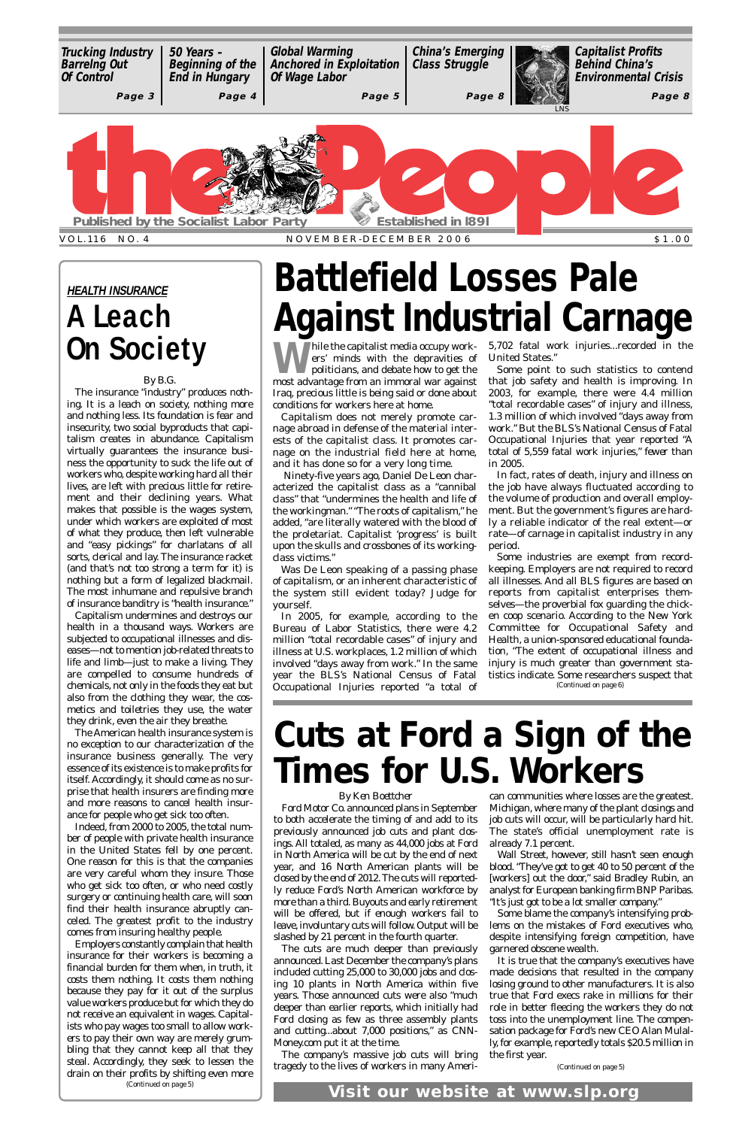W hile the capitalist media occupy work-<br>
ers' minds with the depravities of<br>
politicians, and debate how to get the<br>
mest odyntage from an immoral way against ers' minds with the depravities of politicians, and debate how to get the most advantage from an immoral war against Iraq, precious little is being said or done about conditions for workers here at home.

Capitalism does not merely promote carnage abroad in defense of the material interests of the capitalist class. It promotes carnage on the industrial field here at home, and it has done so for a very long time.

Ninety-five years ago, Daniel De Leon characterized the capitalist class as a "cannibal class" that "undermines the health and life of the workingman." "The roots of capitalism," he added, "are literally watered with the blood of the proletariat. Capitalist 'progress' is built upon the skulls and crossbones of its workingclass victims."

hile the capitalist media occupy work- 5,702 fatal work injuries...recorded in the United States."

Was De Leon speaking of a passing phase of capitalism, or an inherent characteristic of the system still evident today? Judge for yourself.

In 2005, for example, according to the Bureau of Labor Statistics, there were 4.2 million "total recordable cases" of injury and illness at U.S. workplaces, 1.2 million of which involved "days away from work." In the same year the BLS's National Census of Fatal Occupational Injuries reported "a total of

Some point to such statistics to contend that job safety and health is improving. In 2003, for example, there were 4.4 million "total recordable cases" of injury and illness, 1.3 million of which involved "days away from work." But the BLS's National Census of Fatal Occupational Injuries that year reported "A total of 5,559 fatal work injuries," *fewer* than in 2005.

In fact, rates of death, injury and illness on the job have always fluctuated according to the volume of production and overall employment. But the government's figures are hardly a reliable indicator of the real extent—or rate—of carnage in capitalist industry in any period.

## **Battlefield Losses Pale Against Industrial Carnage**

### *By Ken Boettcher*

to both accelerate the timing of and add to its job cuts will occur, will be particularly hard hit. previously announced job cuts and plant closings. All totaled, as many as 44,000 jobs at Ford in North America will be cut by the end of next year, and 16 North American plants will be closed by the end of 2012.The cuts will reportedly reduce Ford's North American workforce by more than a third. Buyouts and early retirement will be offered, but if enough workers fail to leave, involuntary cuts will follow. Output will be slashed by 21 percent in the fourth quarter. The cuts are much deeper than previously announced. Last December the company's plans included cutting 25,000 to 30,000 jobs and closing 10 plants in North America within five years. Those announced cuts were also "much deeper than earlier reports, which initially had Ford closing as few as three assembly plants and cutting...about 7,000 positions," as CNN-Money.com put it at the time. The company's massive job cuts will bring tragedy to the lives of workers in many Ameri-

Ford Motor Co. announced plans in September Michigan, where many of the plant closings and can communities where losses are the greatest. The state's official unemployment rate is already 7.1 percent. Wall Street, however, still hasn't seen enough blood. "They've got to get 40 to 50 percent of the [workers] out the door," said Bradley Rubin, an analyst for European banking firm BNP Paribas. "It's just got to be a lot smaller company." Some blame the company's intensifying problems on the mistakes of Ford executives who, despite intensifying foreign competition, have garnered obscene wealth. It is true that the company's executives have made decisions that resulted in the company losing ground to other manufacturers. It is also true that Ford execs rake in millions for their role in better fleecing the workers they do not toss into the unemployment line. The compensation package for Ford's new CEO Alan Mulally, for example, reportedly totals \$20.5 million in the first year.

## **Cuts at Ford a Sign of the Times for U.S. Workers**

### *By B.G.*

Some industries are exempt from recordkeeping. Employers are not required to record all illnesses. And all BLS figures are based on reports from capitalist enterprises themselves—the proverbial fox guarding the chicken coop scenario. According to the New York Committee for Occupational Safety and Health, a union-sponsored educational foundation, "The extent of occupational illness and injury is much greater than government statistics indicate. Some researchers suspect that *(Continued on page 6)*

<span id="page-0-0"></span>

The insurance "industry" produces nothing. It is a leach on society, nothing more and nothing less. Its foundation is fear and insecurity, two social byproducts that capitalism creates in abundance. Capitalism virtually guarantees the insurance business the opportunity to suck the life out of workers who, despite working hard all their lives, are left with precious little for retirement and their declining years. What makes that possible is the wages system, under which workers are exploited of most of what they produce, then left vulnerable and "easy pickings" for charlatans of all sorts, clerical and lay. The insurance racket (and that's not too strong a term for it) is nothing but a form of legalized blackmail. The most inhumane and repulsive branch of insurance banditry is "health insurance."

Capitalism undermines and destroys our health in a thousand ways. Workers are subjected to occupational illnesses and diseases—not to mention job-related threats to life and limb—just to make a living. They are compelled to consume hundreds of chemicals, not only in the foods they eat but also from the clothing they wear, the cosmetics and toiletries they use, the water they drink, even the air they breathe.

The American health insurance system is no exception to our characterization of the insurance business generally. The very essence of its existence is to make profits for itself. Accordingly, it should come as no surprise that health insurers are finding more and more reasons to cancel health insurance for people who get sick too often.

Indeed, from 2000 to 2005, the total num-

ber of people with private health insurance in the United States fell by one percent. One reason for this is that the companies are very careful whom they insure. Those who get sick too often, or who need costly surgery or continuing health care, will soon find their health insurance abruptly canceled. The greatest profit to the industry comes from insuring healthy people.

Employers constantly complain that health insurance for their workers is becoming a financial burden for them when, in truth, it costs them nothing. It costs them nothing because they pay for it out of the surplus value workers produce but for which they do not receive an equivalent in wages. Capitalists who pay wages too small to allow workers to pay their own way are merely grumbling that they cannot keep all that they steal. Accordingly, they seek to lessen the drain on their profits by shifting even more *(Continued on page 5)*

### **HEALTH INSURANCE A Leach On Society**

*(Continued on page 5)*

**Visit our website at www.slp.org**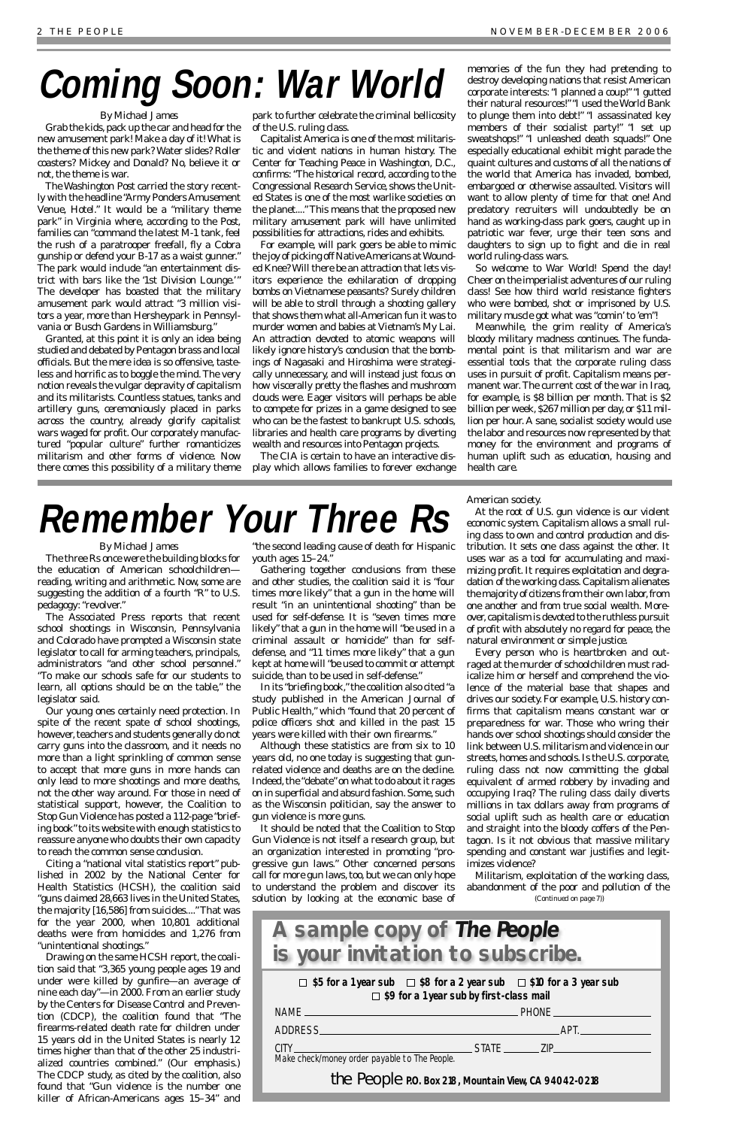### *By Michael James*

The three Rs once were the building blocks for the education of American schoolchildren reading, writing and arithmetic. Now, some are suggesting the addition of a fourth "R" to U.S. pedagogy: "revolver."

The Associated Press reports that recent school shootings in Wisconsin, Pennsylvania and Colorado have prompted a Wisconsin state legislator to call for arming teachers, principals, administrators "and other school personnel." "To make our schools safe for our students to learn, all options should be on the table," the legislator said.

Our young ones certainly need protection. In spite of the recent spate of school shootings, however, teachers and students generally do not carry guns into the classroom, and it needs no more than a light sprinkling of common sense to accept that more guns in more hands can only lead to more shootings and more deaths, not the other way around. For those in need of statistical support, however, the Coalition to Stop Gun Violence has posted a 112-page "briefing book" to its website with enough statistics to reassure anyone who doubts their own capacity to reach the common sense conclusion. Citing a "national vital statistics report" published in 2002 by the National Center for Health Statistics (HCSH), the coalition said "guns claimed 28,663 lives in the United States, the majority [16,586] from suicides...."That was for the year 2000, when 10,801 additional deaths were from homicides and 1,276 from "unintentional shootings." Drawing on the same HCSH report, the coalition said that "3,365 young people ages 19 and under were killed by gunfire—an average of nine each day"—in 2000. From an earlier study by the Centers for Disease Control and Prevention (CDCP), the coalition found that "The firearms-related death rate for children under 15 years old in the United States is nearly 12 times higher than that of the other 25 industrialized countries *combined*." (Our emphasis.) The CDCP study, as cited by the coalition, also found that "Gun violence is the number one killer of African-Americans ages 15–34" and

"the second leading cause of death for Hispanic youth ages 15–24."

Gathering together conclusions from these and other studies, the coalition said it is "four times more likely" that a gun in the home will result "in an unintentional shooting" than be used for self-defense. It is "seven times more likely" that a gun in the home will "be used in a criminal assault or homicide" than for selfdefense, and "11 times more likely" that a gun kept at home will "be used to commit or attempt suicide, than to be used in self-defense."

Grab the kids, pack up the car and head for the new amusement park! Make a day of it! What is the theme of this new park? Water slides? Roller coasters? Mickey and Donald? No, believe it or not, the theme is war.

> In its "briefing book," the coalition also cited "a study published in the American Journal of Public Health," which "found that 20 percent of police officers shot and killed in the past 15 years were killed with their own firearms."

> Although these statistics are from six to 10 years old, no one today is suggesting that gunrelated violence and deaths are on the decline. Indeed, the "debate" on what to do about it rages on in superficial and absurd fashion. Some, such as the Wisconsin politician, say the answer to gun violence is more guns.

> It should be noted that the Coalition to Stop Gun Violence is not itself a research group, but an organization interested in promoting "progressive gun laws." Other concerned persons call for more gun laws, too, but we can only hope to understand the problem and discover its solution by looking at the economic base of

American society.

At the root of U.S. gun violence is our violent economic system. Capitalism allows a small ruling class to own and control production and distribution. It sets one class against the other. It uses war as a tool for accumulating and maximizing profit. It requires exploitation and degradation of the working class. Capitalism alienates the majority of citizens from their own labor, from one another and from true social wealth. Moreover, capitalism is devoted to the ruthless pursuit of profit with absolutely no regard for peace, the natural environment or simple justice.

Every person who is heartbroken and outraged at the murder of schoolchildren must radicalize him or herself and comprehend the violence of the material base that shapes and drives our society. For example, U.S. history confirms that capitalism means constant war or preparedness for war. Those who wring their hands over school shootings should consider the link between U.S.militarism and violence in our streets, homes and schools. Is the U.S. corporate, ruling class not now committing the global equivalent of armed robbery by invading and occupying Iraq? The ruling class daily diverts millions in tax dollars away from programs of social uplift such as health care or education and straight into the bloody coffers of the Pentagon. Is it not obvious that massive military spending and constant war justifies and legitimizes violence?

### *By Michael James*

*The Washington Post* carried the story recently with the headline "Army Ponders Amusement Venue, Hotel." It would be a "military theme park" in Virginia where, according to the *Post*, families can "command the latest M-1 tank, feel the rush of a paratrooper freefall, fly a Cobra gunship or defend your B-17 as a waist gunner." The park would include "an entertainment district with bars like the '1st Division Lounge.'" The developer has boasted that the military amusement park would attract "3 million visitors a year, more than Hersheypark in Pennsylvania or Busch Gardens in Williamsburg."

Granted, at this point it is only an idea being studied and debated by Pentagon brass and local officials. But the mere idea is so offensive, tasteless and horrific as to boggle the mind. The very notion reveals the vulgar depravity of capitalism and its militarists. Countless statues, tanks and artillery guns, ceremoniously placed in parks across the country, already glorify capitalist wars waged for profit. Our corporately manufactured "popular culture" further romanticizes militarism and other forms of violence. Now there comes this possibility of a military theme

park to further celebrate the criminal bellicosity of the U.S. ruling class.

Capitalist America is one of the most militaristic and violent nations in human history. The Center for Teaching Peace in Washington, D.C., confirms: "The historical record, according to the Congressional Research Service, shows the United States is one of the most warlike societies on the planet...." This means that the proposed new military amusement park will have unlimited possibilities for attractions, rides and exhibits.

For example, will park goers be able to mimic the joy of picking off Native Americans at Wounded Knee? Will there be an attraction that lets visitors experience the exhilaration of dropping bombs on Vietnamese peasants? Surely children will be able to stroll through a shooting gallery that shows them what all-American fun it was to murder women and babies at Vietnam's My Lai. An attraction devoted to atomic weapons will likely ignore history's conclusion that the bombings of Nagasaki and Hiroshima were strategically unnecessary, and will instead just focus on how viscerally pretty the flashes and mushroom clouds were. Eager visitors will perhaps be able to compete for prizes in a game designed to see who can be the fastest to bankrupt U.S. schools, libraries and health care programs by diverting wealth and resources into Pentagon projects.

> Militarism, exploitation of the working class, abandonment of the poor and pollution of the *(Continued on page 7))*

The CIA is certain to have an interactive display which allows families to forever exchange memories of the fun they had pretending to destroy developing nations that resist American corporate interests: "I planned a coup!" "I gutted their natural resources!""I used the World Bank to plunge them into debt!" "I assassinated key members of their socialist party!" "I set up sweatshops!" "I unleashed death squads!" One especially educational exhibit might parade the quaint cultures and customs of all the nations of the world that America has invaded, bombed, embargoed or otherwise assaulted. Visitors will want to allow plenty of time for that one! And predatory recruiters will undoubtedly be on hand as working-class park goers, caught up in patriotic war fever, urge their teen sons and daughters to sign up to fight and die in real world ruling-class wars.

So welcome to War World! Spend the day! Cheer on the imperialist adventures of our ruling class! See how third world resistance fighters who were bombed, shot or imprisoned by U.S. military muscle got what was "comin' to 'em"!

Meanwhile, the grim reality of America's bloody military madness continues. The fundamental point is that militarism and war are essential tools that the corporate ruling class uses in pursuit of profit. Capitalism means permanent war.The current cost of the war in Iraq, for example, is \$8 billion per month. That is \$2 billion per week, \$267 million per day, or \$11 million per hour. A sane, socialist society would use the labor and resources now represented by that money for the environment and programs of human uplift such as education, housing and health care.



## **Coming Soon: War World**

## **Remember Your Three Rs**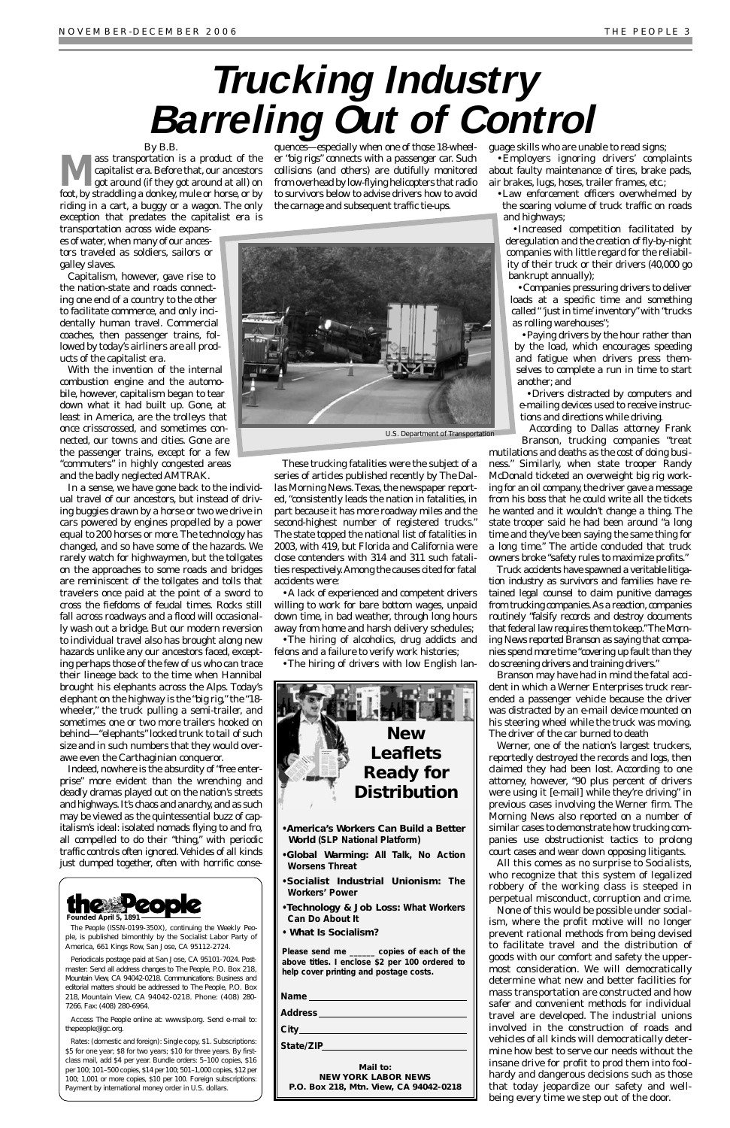<span id="page-2-0"></span>*By B.B.*<br>ass transportation is a product of the **Mass transportation is a product of the capitalist era. Before that, our ancestors**<br>got around (if they got around at all) on<br>fort by structualling a deplay mule an home an hui capitalist era. Before that, our ancestors foot, by straddling a donkey, mule or horse, or by riding in a cart, a buggy or a wagon. The only exception that predates the capitalist era is

transportation across wide expanses of water,when many of our ancestors traveled as soldiers, sailors or galley slaves.

Capitalism, however, gave rise to the nation-state and roads connecting one end of a country to the other to facilitate commerce, and only incidentally human travel. Commercial coaches, then passenger trains, followed by today's airliners are all products of the capitalist era.

With the invention of the internal combustion engine and the automobile, however, capitalism began to tear down what it had built up. Gone, at least in America, are the trolleys that once crisscrossed, and sometimes connected, our towns and cities. Gone are the passenger trains, except for a few "commuters" in highly congested areas and the badly neglected AMTRAK.

In a sense, we have gone back to the individual travel of our ancestors, but instead of driving buggies drawn by a horse or two we drive in cars powered by engines propelled by a power equal to 200 horses or more.The technology has changed, and so have some of the hazards. We rarely watch for highwaymen, but the tollgates on the approaches to some roads and bridges are reminiscent of the tollgates and tolls that travelers once paid at the point of a sword to cross the fiefdoms of feudal times. Rocks still fall across roadways and a flood will occasionally wash out a bridge. But our modern reversion to individual travel also has brought along new hazards unlike any our ancestors faced, excepting perhaps those of the few of us who can trace their lineage back to the time when Hannibal brought his elephants across the Alps. Today's elephant on the highway is the "big rig," the "18 wheeler," the truck pulling a semi-trailer, and sometimes one or two more trailers hooked on behind—"elephants" locked trunk to tail of such size and in such numbers that they would overawe even the Carthaginian conqueror.

Indeed, nowhere is the absurdity of "free enterprise" more evident than the wrenching and deadly dramas played out on the nation's streets and highways. It's chaos and anarchy, and as such may be viewed as the quintessential buzz of capitalism's ideal: isolated nomads flying to and fro, all compelled to do their "thing," with periodic traffic controls often ignored.Vehicles of all kinds just dumped together, often with horrific conse-

quences—especially when one of those 18-wheeler "big rigs" connects with a passenger car. Such collisions (and others) are dutifully monitored from overhead by low-flying helicopters that radio to survivors below to advise drivers how to avoid the carnage and subsequent traffic tie-ups.

These trucking fatalities were the subject of a series of articles published recently by *The Dallas Morning News*.Texas, the newspaper reported, "consistently leads the nation in fatalities, in part because it has more roadway miles and the second-highest number of registered trucks." The state topped the national list of fatalities in 2003, with 419, but Florida and California were close contenders with 314 and 311 such fatalities respectively.Among the causes cited for fatal accidents were:

•A lack of experienced and competent drivers willing to work for bare bottom wages, unpaid down time, in bad weather, through long hours away from home and harsh delivery schedules;

•The hiring of alcoholics, drug addicts and felons and a failure to verify work histories;

•The hiring of drivers with low English lan-

guage skills who are unable to read signs;

•Employers ignoring drivers' complaints about faulty maintenance of tires, brake pads, air brakes, lugs, hoses, trailer frames, etc.;

•Law enforcement officers overwhelmed by the soaring volume of truck traffic on roads and highways;

•Increased competition facilitated by deregulation and the creation of fly-by-night companies with little regard for the reliability of their truck or their drivers (40,000 go bankrupt annually);

•Companies pressuring drivers to deliver loads at a specific time and something called " 'just in time' inventory"with "trucks as rolling warehouses";

•Paying drivers by the hour rather than by the load, which encourages speeding and fatigue when drivers press themselves to complete a run in time to start another; and

•Drivers distracted by computers and e-mailing devices used to receive instructions and directions while driving.

According to Dallas attorney Frank Branson, trucking companies "treat

mutilations and deaths as the cost of doing business." Similarly, when state trooper Randy McDonald ticketed an overweight big rig working for an oil company, the driver gave a message from his boss that he could write all the tickets he wanted and it wouldn't change a thing. The state trooper said he had been around "a long time and they've been saying the same thing for a long time." The article concluded that truck owners broke "safety rules to maximize profits."

Truck accidents have spawned a veritable litigation industry as survivors and families have retained legal counsel to claim punitive damages from trucking companies. As a reaction, companies routinely "falsify records and destroy documents that federal law requires them to keep."The *Morning News* reported Branson as saying that companies spend more time "covering up fault than they do screening drivers and training drivers."

Branson may have had in mind the fatal accident in which a Werner Enterprises truck rearended a passenger vehicle because the driver was distracted by an e-mail device mounted on his steering wheel while the truck was moving. The driver of the car burned to death

Werner, one of the nation's largest truckers, reportedly destroyed the records and logs, then claimed they had been lost. According to one attorney, however, "90 plus percent of drivers were using it [e-mail] while they're driving" in previous cases involving the Werner firm. The *Morning News* also reported on a number of similar cases to demonstrate how trucking companies use obstructionist tactics to prolong court cases and wear down opposing litigants. All this comes as no surprise to Socialists, who recognize that this system of legalized robbery of the working class is steeped in perpetual misconduct, corruption and crime. None of this would be possible under socialism, where the profit motive will no longer prevent rational methods from being devised to facilitate travel and the distribution of goods with our comfort and safety the uppermost consideration. We will democratically determine what new and better facilities for mass transportation are constructed and how safer and convenient methods for individual travel are developed. The industrial unions involved in the construction of roads and vehicles of all kinds will democratically determine how best to serve our needs without the insane drive for profit to prod them into foolhardy and dangerous decisions such as those that today jeopardize our safety and wellbeing every time we step out of the door.

## **Trucking Industry Barreling Out of Control**



*The People* (ISSN-0199-350X), continuing the *Weekly People*, is published bimonthly by the Socialist Labor Party of America, 661 Kings Row, San Jose, CA 95112-2724.

Periodicals postage paid at San Jose, CA 95101-7024. Postmaster: Send all address changes to *The People*, P.O. Box 218, Mountain View, CA 94042-0218. Communications: Business and editorial matters should be addressed to *The People*, P.O. Box 218, Mountain View, CA 94042-0218. Phone: (408) 280- 7266. Fax: (408) 280-6964.

Access *The People* online at: www.slp.org. Send e-mail to: thepeople@igc.org.

Rates: (domestic and foreign): Single copy, \$1. Subscriptions: \$5 for one year; \$8 for two years; \$10 for three years. By firstclass mail, add \$4 per year. Bundle orders: 5–100 copies, \$16 per 100; 101–500 copies, \$14 per 100; 501–1,000 copies, \$12 per 100; 1,001 or more copies, \$10 per 100. Foreign subscriptions: Payment by international money order in U.S. dollars.





*•America's Workers Can Build a Better World* **(SLP National Platform)**

*•Global Warming: All Talk, No Action Worsens Threat*

- *•Socialist Industrial Unionism: The Workers' Power*
- *•Technology & Job Loss: What Workers Can Do About It*
- *What Is Socialism?*

*Please send me \_\_\_\_\_\_ copies of each of the above titles. I enclose \$2 per 100 ordered to help cover printing and postage costs.*

| <b>Name</b> |  |
|-------------|--|
| Address     |  |
| City.       |  |

*State/ZIP*

**Mail to: NEW YORK LABOR NEWS P.O. Box 218, Mtn. View, CA 94042-0218**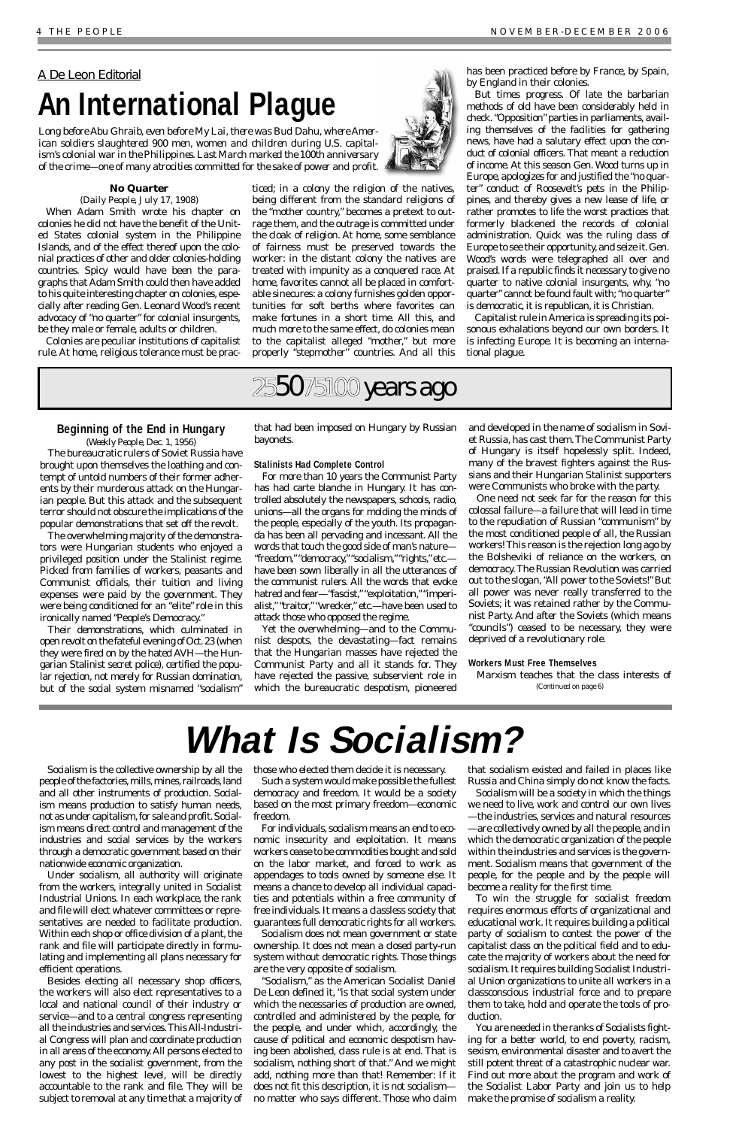### **No Quarter**

### *(Daily People, July 17, 1908)*

When Adam Smith wrote his chapter on colonies he did not have the benefit of the United States colonial system in the Philippine Islands, and of the effect thereof upon the colonial practices of other and older colonies-holding countries. Spicy would have been the paragraphs that Adam Smith could then have added to his quite interesting chapter on colonies, especially after reading Gen. Leonard Wood's recent advocacy of "no quarter" for colonial insurgents, be they male or female, adults or children.

Colonies are peculiar institutions of capitalist rule. At home, religious tolerance must be prac-

ticed; in a colony the religion of the natives, being different from the standard religions of the "mother country," becomes a pretext to outrage them, and the outrage is committed under the cloak of religion. At home, some semblance of fairness must be preserved towards the worker: in the distant colony the natives are treated with impunity as a conquered race. At home, favorites cannot all be placed in comfortable sinecures: a colony furnishes golden opportunities for soft berths where favorites can make fortunes in a short time. All this, and much more to the same effect, do colonies mean to the capitalist alleged "mother," but more properly "stepmother" countries. And all this

has been practiced before by France, by Spain,

by England in their colonies.

But times progress. Of late the barbarian methods of old have been considerably held in check."Opposition" parties in parliaments, availing themselves of the facilities for gathering news, have had a salutary effect upon the conduct of colonial officers. That meant a reduction of income. At this season Gen. Wood turns up in Europe, apologizes for and justified the "no quarter" conduct of Roosevelt's pets in the Philippines, and thereby gives a new lease of life, or rather promotes to life the worst practices that formerly blackened the records of colonial administration. Quick was the ruling class of Europe to see their opportunity, and seize it. Gen. Wood's words were telegraphed all over and praised. If a republic finds it necessary to give no quarter to native colonial insurgents, why, "no quarter" cannot be found fault with;"no quarter" is democratic, it is republican, it is Christian. Capitalist rule in America is spreading its poisonous exhalations beyond our own borders. It is infecting Europe. It is becoming an interna-

tional plague.

Socialism is the collective ownership by all the people of the factories, mills, mines, railroads, land and all other instruments of production. Socialism means production to satisfy human needs, not as under capitalism, for sale and profit. Socialism means direct control and management of the industries and social services by the workers through a democratic government based on their nationwide economic organization. Under socialism, all authority will originate from the workers, integrally united in Socialist Industrial Unions. In each workplace, the rank and file will elect whatever committees or representatives are needed to facilitate production. Within each shop or office division of a plant, the rank and file will participate directly in formulating and implementing all plans necessary for efficient operations. Besides electing all necessary shop officers, the workers will also elect representatives to a local and national council of their industry or service—and to a central congress representing all the industries and services.This All-Industrial Congress will plan and coordinate production in all areas of the economy.All persons elected to any post in the socialist government, from the lowest to the highest level, will be directly accountable to the rank and file. They will be subject to removal at any time that a majority of those who elected them decide it is necessary.

Such a system would make possible the fullest democracy and freedom. It would be a society based on the most primary freedom—economic freedom.

For individuals, socialism means an end to economic insecurity and exploitation. It means workers cease to be commodities bought and sold on the labor market, and forced to work as appendages to tools owned by someone else. It means a chance to develop all individual capacities and potentials within a free community of free individuals. It means a classless society that guarantees full democratic rights for all workers. Socialism does not mean government or state ownership. It does not mean a closed party-run system without democratic rights. Those things are the very opposite of socialism. "Socialism," as the American Socialist Daniel De Leon defined it, "is that social system under which the necessaries of production are owned, controlled and administered by the people, for the people, and under which, accordingly, the cause of political and economic despotism having been abolished, class rule is at end. That is socialism, nothing short of that." And we might add, nothing more than that! Remember: If it does not fit this description, it is not socialism no matter who says different. Those who claim

that socialism existed and failed in places like Russia and China simply do not know the facts.

Socialism will be a society in which the things we need to live, work and control our own lives —the industries, services and natural resources



—are collectively owned by all the people, and in which the democratic organization of the people within the industries and services is the government. Socialism means that government of the people, for the people and by the people will become a reality for the first time.

To win the struggle for socialist freedom requires enormous efforts of organizational and educational work. It requires building a political party of socialism to contest the power of the capitalist class on the political field and to educate the majority of workers about the need for socialism. It requires building Socialist Industrial Union organizations to unite all workers in a classconscious industrial force and to prepare them to take, hold and operate the tools of production.

You are needed in the ranks of Socialists fighting for a better world, to end poverty, racism, sexism, environmental disaster and to avert the still potent threat of a catastrophic nuclear war. Find out more about the program and work of the Socialist Labor Party and join us to help make the promise of socialism a reality.

### **Beginning of the End in Hungary**

(*Weekly People*, Dec. 1, 1956)

The bureaucratic rulers of Soviet Russia have brought upon themselves the loathing and contempt of untold numbers of their former adherents by their murderous attack on the Hungarian people. But this attack and the subsequent terror should not obscure the implications of the popular demonstrations that set off the revolt.

The overwhelming majority of the demonstrators were Hungarian students who enjoyed a privileged position under the Stalinist regime. Picked from families of workers, peasants and Communist officials, their tuition and living expenses were paid by the government. They were being conditioned for an "elite" role in this ironically named "People's Democracy."

Their demonstrations, which culminated in open revolt on the fateful evening of Oct.23 (when they were fired on by the hated AVH—the Hungarian Stalinist secret police), certified the popular rejection, not merely for Russian domination, but of the social system misnamed "socialism"

that had been imposed on Hungary by Russian bayonets.

### **Stalinists Had Complete Control**

For more than 10 years the Communist Party has had carte blanche in Hungary. It has controlled absolutely the newspapers, schools, radio, unions—all the organs for molding the minds of the people, especially of the youth. Its propaganda has been all pervading and incessant. All the words that touch the good side of man's nature— "freedom,""democracy,""socialism,""rights,"etc. have been sown liberally in all the utterances of the communist rulers. All the words that evoke hatred and fear-"fascist," "exploitation," "imperialist," "traitor," "wrecker," etc.—have been used to attack those who opposed the regime.

Yet the overwhelming—and to the Communist despots, the devastating—fact remains that the Hungarian masses have rejected the Communist Party and all it stands for. They have rejected the passive, subservient role in which the bureaucratic despotism, pioneered and developed in the name of socialism in Soviet Russia, has cast them.The Communist Party of Hungary is itself hopelessly split. Indeed, many of the bravest fighters *against* the Russians and their Hungarian Stalinist supporters were Communists who broke with the party.

One need not seek far for the reason for this colossal failure—a failure that will lead in time to the repudiation of Russian "communism" by the most conditioned people of all, *the Russian workers*! This reason is the rejection long ago by the Bolsheviki of reliance on the workers, on democracy.The Russian Revolution was carried out to the slogan,"All power to the Soviets!" But all power was never really transferred to the Soviets; it was retained rather by the Communist Party. And after the Soviets (which means "councils") ceased to be necessary, they were deprived of a revolutionary role.

### **Workers Must Free Themselves**

## **What Is Socialism?**

Marxism teaches that the *class interests* of *(Continued on page 6)*

### <span id="page-3-0"></span>*A De Leon Editorial* **An International Plague**

*Long before Abu Ghraib, even before My Lai, there was Bud Dahu, where American soldiers slaughtered 900 men, women and children during U.S. capitalism's colonial war in the Philippines. Last March marked the 100th anniversary of the crime—one of many atrocities committed for the sake of power and profit.*

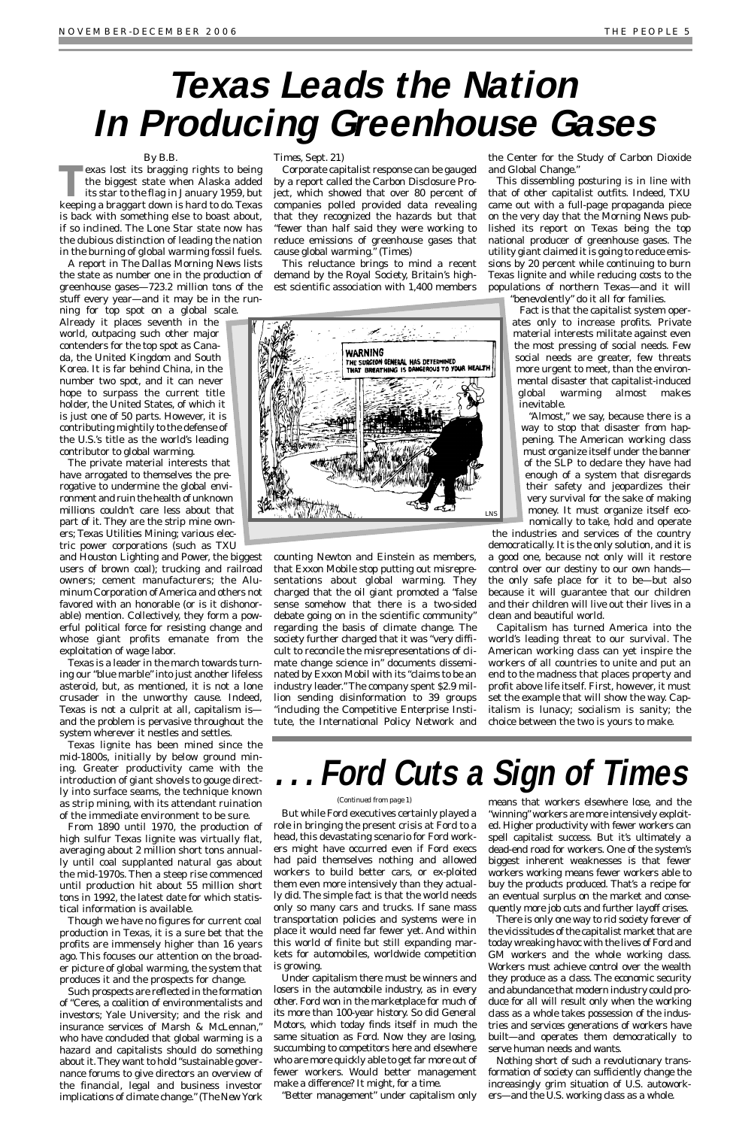### *By B.B.*

**TACK** exas lost its bragging rights to being<br>the biggest state when Alaska added<br>its star to the flag in January 1959, but the biggest state when Alaska added keeping a braggart down is hard to do. Texas is back with something else to boast about, if so inclined. The Lone Star state now has the dubious distinction of leading the nation in the burning of global warming fossil fuels.

A report in *The Dallas Morning News* lists the state as number one in the production of greenhouse gases—723.2 million tons of the stuff every year—and it may be in the running for top spot on a global scale.

Already it places seventh in the world, outpacing such other major contenders for the top spot as Canada, the United Kingdom and South Korea. It is far behind China, in the number two spot, and it can never hope to surpass the current title holder, the United States, of which it is just one of 50 parts. However, it is contributing mightily to the defense of the U.S.'s title as the world's leading contributor to global warming.

The private material interests that have arrogated to themselves the prerogative to undermine the global environment and ruin the health of unknown millions couldn't care less about that part of it. They are the strip mine owners; Texas Utilities Mining; various electric power corporations (such as TXU

and Houston Lighting and Power, the biggest users of brown coal); trucking and railroad owners; cement manufacturers; the Aluminum Corporation of America and others not favored with an honorable (or is it dishonorable) mention. Collectively, they form a powerful political force for resisting change and whose giant profits emanate from the exploitation of wage labor.

Texas is a leader in the march towards turning our "blue marble" into just another lifeless asteroid, but, as mentioned, it is not a lone crusader in the unworthy cause. Indeed, Texas is not a culprit at all, capitalism is and the problem is pervasive throughout the system wherever it nestles and settles.

Texas lignite has been mined since the mid-1800s, initially by below ground mining. Greater productivity came with the introduction of giant shovels to gouge directly into surface seams, the technique known as strip mining, with its attendant ruination of the immediate environment to be sure.

From 1890 until 1970, the production of

high sulfur Texas lignite was virtually flat, averaging about 2 million short tons annually until coal supplanted natural gas about the mid-1970s. Then a steep rise commenced until production hit about 55 million short tons in 1992, the latest date for which statistical information is available.

Though we have no figures for current coal production in Texas, it is a sure bet that the profits are immensely higher than 16 years ago. This focuses our attention on the broader picture of global warming, the system that produces it and the prospects for change.

Such prospects are reflected in the formation of "Ceres, a coalition of environmentalists and investors; Yale University; and the risk and insurance services of Marsh & McLennan," who have concluded that global warming is a hazard and capitalists should do something about it. They want to hold "sustainable governance forums to give directors an overview of the financial, legal and business investor implications of climate change." (*The New York*

### *Times*, Sept. 21)

Corporate capitalist response can be gauged by a report called the Carbon Disclosure Project, which showed that over 80 percent of companies polled provided data revealing that they recognized the hazards but that "fewer than half said they were working to reduce emissions of greenhouse gases that cause global warming." (*Times*)

This reluctance brings to mind a recent demand by the Royal Society, Britain's highest scientific association with 1,400 members

counting Newton and Einstein as members, that Exxon Mobile stop putting out misrepresentations about global warming. They charged that the oil giant promoted a "false sense somehow that there is a two-sided debate going on in the scientific community" regarding the basis of climate change. The society further charged that it was "very difficult to reconcile the misrepresentations of climate change science in" documents disseminated by Exxon Mobil with its "claims to be an industry leader." The company spent \$2.9 million sending disinformation to 39 groups "including the Competitive Enterprise Institute, the International Policy Network and the Center for the Study of Carbon Dioxide and Global Change."

This dissembling posturing is in line with that of other capitalist outfits. Indeed, TXU came out with a full-page propaganda piece on the very day that the *Morning News* published its report on Texas being the top national producer of greenhouse gases. The utility giant claimed it is going to reduce emissions by 20 percent while continuing to burn Texas lignite and while reducing costs to the populations of northern Texas—and it will

"benevolently" do it all for families.

Fact is that the capitalist system operates only to increase profits. Private material interests militate against even the most pressing of social needs. Few social needs are greater, few threats more urgent to meet, than the environmental disaster that capitalist-induced global warming almost makes inevitable.

"Almost," we say, because there is a way to stop that disaster from happening. The American working class must organize itself under the banner of the SLP to declare they have had enough of a system that disregards their safety and jeopardizes their very survival for the sake of making money. It must organize itself economically to take, hold and operate

the industries and services of the country

democratically. It is the only solution, and it is a good one, because not only will it restore control over our destiny to our own hands the only safe place for it to be—but also because it will guarantee that our children and their children will live out their lives in a clean and beautiful world.

Capitalism has turned America into the world's leading threat to our survival. The American working class can yet inspire the workers of all countries to unite and put an end to the madness that places property and profit above life itself. First, however, it must set the example that will show the way. Capitalism is lunacy; socialism is sanity; the choice between the two is yours to make.

## <span id="page-4-0"></span>**Texas Leads the Nation In Producing Greenhouse Gases**



But while Ford executives certainly played a role in bringing the present crisis at Ford to a ed. Higher productivity with fewer workers can head, this devastating scenario for Ford workers might have occurred even if Ford execs had paid themselves nothing and allowed workers to build better cars, or ex-ploited them even more intensively than they actually did. The simple fact is that the world needs only so many cars and trucks. If sane mass transportation policies and systems were in place it would need far fewer yet. And within this world of finite but still expanding markets for automobiles, worldwide competition is growing. Under capitalism there must be winners and losers in the automobile industry, as in every other. Ford won in the marketplace for much of its more than 100-year history. So did General Motors, which today finds itself in much the same situation as Ford. Now they are losing, succumbing to competitors here and elsewhere who are more quickly able to get far more out of fewer workers. Would better management make a difference? It might, for a time.

"Better management" under capitalism only

means that workers elsewhere lose, and the "winning" workers are more intensively exploitspell capitalist success. But it's ultimately a dead-end road for workers. One of the system's biggest inherent weaknesses is that fewer workers working means fewer workers able to buy the products produced. That's a recipe for an eventual surplus on the market and consequently more job cuts and further layoff crises. There is only one way to rid society forever of the vicissitudes of the capitalist market that are today wreaking havoc with the lives of Ford and GM workers and the whole working class. Workers must achieve control over the wealth they produce as a class. The economic security and abundance that modern industry could produce for all will result only when the working class as a whole takes possession of the industries and services generations of workers have built—and operates them democratically to serve human needs and wants. Nothing short of such a revolutionary transformation of society can sufficiently change the increasingly grim situation of U.S. autoworkers—and the U.S. working class as a whole.

## **. . . Ford Cuts a Sign of Times**

### *(Continued from page 1)*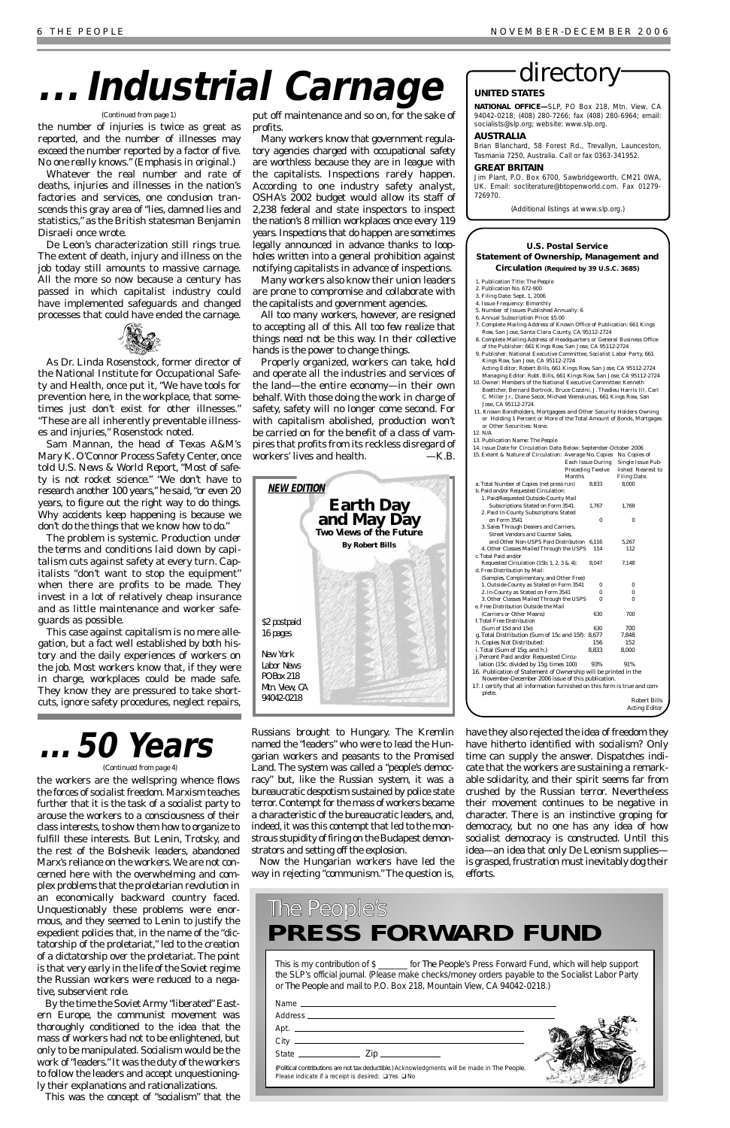the number of injuries is twice as great as reported, and the number of illnesses may exceed the number reported by a factor of five. *No one really knows*." (Emphasis in original.)

Whatever the real number and rate of deaths, injuries and illnesses in the nation's factories and services, one conclusion transcends this gray area of "lies, damned lies and statistics," as the British statesman Benjamin Disraeli once wrote.

De Leon's characterization still rings true. The extent of death, injury and illness on the job today still amounts to massive carnage. All the more so now because a century has passed in which capitalist industry could have implemented safeguards and changed processes that could have ended the carnage.



As Dr. Linda Rosenstock, former director of the National Institute for Occupational Safety and Health, once put it, "We have tools for prevention here, in the workplace, that sometimes just don't exist for other illnesses." "These are all inherently preventable illnesses and injuries," Rosenstock noted.

Sam Mannan, the head of Texas A&M's Mary K. O'Connor Process Safety Center, once told *U.S. News & World Report*, "Most of safety is not rocket science." "We don't have to research another 100 years," he said, "or even 20 years, to figure out the right way to do things. Why accidents keep happening is because we don't do the things that we know how to do."

The problem is *systemic*. Production *under the terms and conditions laid down by capitalism* cuts against safety at every turn. Capitalists "don't want to stop the equipment" when there are profits to be made. They invest in a lot of relatively cheap insurance and as little maintenance and worker safeguards as possible.

This case against capitalism is no mere allegation, but a fact well established by both history and the daily experiences of workers on the job. Most workers know that, if they were in charge, workplaces could be made safe. They know they are pressured to take shortcuts, ignore safety procedures, neglect repairs,

put off maintenance and so on, for the sake of profits.

Many workers know that government regulatory agencies charged with occupational safety are worthless because they are in league with the capitalists. Inspections rarely happen. According to one industry safety analyst, OSHA's 2002 budget would allow its staff of 2,238 federal and state inspectors to inspect the nation's 8 million workplaces once every 119 years. Inspections that do happen are sometimes legally announced in advance thanks to loopholes written into a general prohibition against notifying capitalists in advance of inspections.

Many workers also know their union leaders are prone to compromise and collaborate with the capitalists and government agencies.

All too many workers, however, are resigned to accepting all of this. All too *few* realize that things *need not* be this way. In *their* collective hands is the power to change things.

Properly organized, workers can take, hold and operate all the industries and services of the land—the entire economy—in their own behalf. With those doing the work in charge of safety, safety will no longer come second. For with capitalism abolished, production won't be carried on for the benefit of a class of vampires that profits from its reckless disregard of workers' lives and health. *—K.B.*

- 1. Publication Title: *The Peopl*
- 2. Publication No. 672-900
- 3. Filing Date: Sept. 1, 2006
- 4. Issue Frequency: Bimonthly 5. Number of Issues Published Annually: 6
- 6. Annual Subscription Price: \$5.00
- 7. Complete Mailing Address of Known Office of Publication: 661 Kings Row, San Jose, Santa Clara County, CA 95112-2724
- 8. Complete Mailing Address of Headquarters or General Business Office of the Publisher: 661 Kings Row, San Jose, CA 95112-2724
- 9. Publisher: National Executive Committee, Socialist Labor Party, 661 Kings Row, San Jose, CA 95112-2724
- Acting Editor: Robert Bills, 661 Kings Row, San Jose, CA 95112-2724 Managing Editor: Robt. Bills, 661 Kings Row, San Jose, CA 95112-2724
- 10. Owner: Members of the National Executive Committee: Kenneth Boettcher, Bernard Bortnick, Bruce Cozzini, J. Thadieu Harris III, Carl C. Miller Jr., Diane Secor, Michael Wenskunas, 661 Kings Row, S. Jose, CA 95112-2724.
- 11. Known Bondholders, Mortgagees and Other Security Holders Owning or Holding 1 Percent or More of the Total Amount of Bonds, Mortgages or Other Securities: None.
- 12. N/A

the workers are the wellspring whence flows the forces of socialist freedom. Marxism teaches further that it is the task of a socialist party to arouse the workers to a consciousness of their class interests, to show them how to organize to fulfill these interests. But Lenin, Trotsky, and the rest of the Bolshevik leaders, abandoned Marx's reliance on the workers. We are not concerned here with the overwhelming and complex problems that the proletarian revolution in an economically backward country faced. Unquestionably these problems were enormous, and they seemed to Lenin to justify the expedient policies that, in the name of the "dictatorship of the proletariat," led to the creation of a dictatorship *over* the proletariat. The point is that very early in the life of the Soviet regime the Russian workers were reduced to a negative, subservient role. By the time the Soviet Army "liberated" Eastern Europe, the communist movement was thoroughly conditioned to the idea that the mass of workers had not to be enlightened, but only to be manipulated. Socialism would be the work of "leaders." It was the duty of the workers to follow the leaders and accept unquestioningly their explanations and rationalizations.

This was the concept of "socialism" that the

Russians brought to Hungary. The Kremlin named the "leaders" who were to lead the Hungarian workers and peasants to the Promised Land. The system was called a "people's democracy" but, like the Russian system, it was a bureaucratic despotism sustained by police state terror. Contempt for the mass of workers became a characteristic of the bureaucratic leaders, and, indeed, it was this contempt that led to the monstrous stupidity of firing on the Budapest demonstrators and setting off the explosion.

Now the Hungarian workers have led the way in rejecting "communism." The question is,

have they also rejected the idea of freedom they have hitherto identified with socialism? Only time can supply the answer. Dispatches indicate that the workers are sustaining a remarkable solidarity, and their spirit seems far from crushed by the Russian terror. Nevertheless their movement continues to be negative in character. There is an instinctive groping for democracy, but no one has any idea of how socialist democracy is constructed. Until this idea—an idea that only De Leonism supplies is grasped, frustration must inevitably dog their efforts.

## **. . . Industrial Carnage**

#### *(Continued from page 1)*

### **. . . 50 Years** *(Continued from page 4)*

This is my contribution of \$ \_\_\_\_\_\_\_ for *The Peopl*e's Press Forward Fund, which will help support the SLP's official journal. (Please make checks/money orders payable to the Socialist Labor Party or *The People* and mail to P.O. Box 218, Mountain View, CA 94042-0218.)



### The People's *PRESS FORWARD FUND*

### **U.S. Postal Service Statement of Ownership, Management and Circulation (Required by 39 U.S.C. 3685)**

13. Publication Name: *The People*

| 14. Issue Date for Circulation Data Below: September-October 2006          |        |                         |                      |
|----------------------------------------------------------------------------|--------|-------------------------|----------------------|
| 15. Extent & Nature of Circulation: Average No. Copies                     |        |                         | No. Copies of        |
|                                                                            |        | Each Issue During       | Single Issue Pub-    |
|                                                                            |        | <b>Preceding Twelve</b> | lished Nearest to    |
|                                                                            | Months |                         | <b>Filing Date.</b>  |
| a. Total Number of Copies (net press run)                                  |        | 8.833                   | 8,000                |
| b. Paid and/or Requested Circulation:                                      |        |                         |                      |
| 1. Paid/Requested Outside-County Mail                                      |        |                         |                      |
| Subscriptions Stated on Form 3541.                                         |        | 1,767                   | 1,769                |
| 2. Paid In-County Subscriptions Stated                                     |        |                         |                      |
| on Form 3541                                                               |        | $\bf{0}$                | $\bf{0}$             |
| 3. Sales Through Dealers and Carriers,                                     |        |                         |                      |
| <b>Street Vendors and Counter Sales.</b>                                   |        |                         |                      |
| and Other Non-USPS Paid Distribution 6,116                                 |        |                         | 5,267                |
| 4. Other Classes Mailed Through the USPS                                   |        | 114                     | 112                  |
| c. Total Paid and/or                                                       |        |                         |                      |
| Requested Circulation (15b. 1, 2, 3 & 4):                                  |        | 8,047                   | 7,148                |
| d. Free Distribution by Mail:                                              |        |                         |                      |
| (Samples, Complimentary, and Other Free)                                   |        |                         |                      |
| 1. Outside-County as Stated on Form 3541                                   |        | $\bf{0}$                | 0                    |
| 2. In-County as Stated on Form 3541                                        |        | 0                       | $\Omega$             |
| 3. Other Classes Mailed Through the USPS                                   |        | 0                       | $\bf{0}$             |
| e. Free Distribution Outside the Mail                                      |        |                         |                      |
| (Carriers or Other Means)                                                  |        | 630                     | 700                  |
| f. Total Free Distribution                                                 |        |                         |                      |
| (Sum of 15d and 15e)                                                       |        | 630                     | 700                  |
| g. Total Distribution (Sum of 15c and 15f):                                |        | 8.677                   | 7.848                |
| h. Copies Not Distributed:                                                 |        | 156                     | 152                  |
| i. Total (Sum of 15g. and h.)                                              |        | 8.833                   | 8.000                |
| j. Percent Paid and/or Requested Circu-                                    |        |                         |                      |
| lation (15c. divided by 15g. times 100)                                    |        | 93%                     | 91%                  |
| 16. Publication of Statement of Ownership will be printed in the           |        |                         |                      |
| November-December 2006 issue of this publication.                          |        |                         |                      |
| 17. I certify that all information furnished on this form is true and com- |        |                         |                      |
| plete.                                                                     |        |                         |                      |
|                                                                            |        |                         | <b>Robert Bills</b>  |
|                                                                            |        |                         | <b>Acting Editor</b> |
|                                                                            |        |                         |                      |

### directory

### **UNITED STATES**

**NATIONAL OFFICE—**SLP, PO Box 218, Mtn. View, CA 94042-0218; (408) 280-7266; fax (408) 280-6964; email: socialists@slp.org; website: www.slp.org.

### **AUSTRALIA**

Brian Blanchard, 58 Forest Rd., Trevallyn, Launceston, Tasmania 7250, Australia. Call or fax 0363-341952.

### **GREAT BRITAIN**

Jim Plant, P.O. Box 6700, Sawbridgeworth, CM21 0WA, UK. Email: socliterature@btopenworld.com. Fax 01279- 726970.

(Additional listings at www.slp.org.)

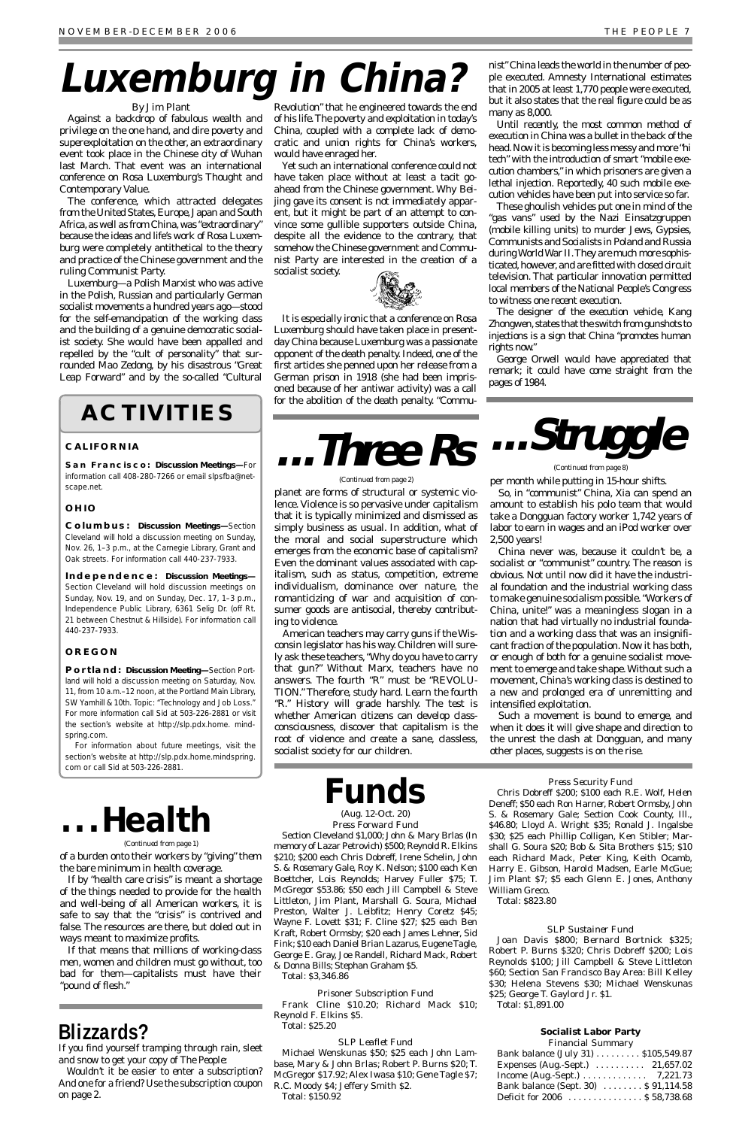### *By Jim Plant*

Against a backdrop of fabulous wealth and privilege on the one hand, and dire poverty and superexploitation on the other, an extraordinary event took place in the Chinese city of Wuhan last March. That event was an international conference on Rosa Luxemburg's Thought and Contemporary Value.

The conference, which attracted delegates from the United States, Europe, Japan and South Africa, as well as from China, was "extraordinary" because the ideas and life's work of Rosa Luxemburg were completely antithetical to the theory and practice of the Chinese government and the ruling Communist Party.

Luxemburg—a Polish Marxist who was active in the Polish, Russian and particularly German socialist movements a hundred years ago—stood for the self-emancipation of the working class and the building of a genuine democratic socialist society. She would have been appalled and repelled by the "cult of personality" that surrounded Mao Zedong, by his disastrous "Great Leap Forward" and by the so-called "Cultural

Revolution" that he engineered towards the end of his life.The poverty and exploitation in today's China, coupled with a complete lack of democratic and union rights for China's workers, would have enraged her.

Yet such an international conference could not have taken place without at least a tacit goahead from the Chinese government. Why Beijing gave its consent is not immediately apparent, but it might be part of an attempt to convince some gullible supporters outside China, despite all the evidence to the contrary, that somehow the Chinese government and Communist Party are interested in the creation of a socialist society.



It is especially ironic that a conference on Rosa Luxemburg should have taken place in presentday China because Luxemburg was a passionate opponent of the death penalty. Indeed, one of the first articles she penned upon her release from a German prison in 1918 (she had been imprisoned because of her antiwar activity) was a call for the abolition of the death penalty. "Commu-

nist"China leads the world in the number of people executed. Amnesty International estimates that in 2005 at least 1,770 people were executed, but it also states that the real figure could be as many as 8,000.

Until recently, the most common method of execution in China was a bullet in the back of the head.Now it is becoming less messy and more "hi tech" with the introduction of smart "mobile execution chambers," in which prisoners are given a lethal injection. Reportedly, 40 such mobile execution vehicles have been put into service so far.

These ghoulish vehicles put one in mind of the "gas vans" used by the Nazi *Einsatzgruppen* (mobile killing units) to murder Jews, Gypsies, Communists and Socialists in Poland and Russia during World War II.They are much more sophisticated, however, and are fitted with closed circuit television. That particular innovation permitted local members of the National People's Congress to witness one recent execution.

The designer of the execution vehicle, Kang Zhongwen, states that the switch from gunshots to injections is a sign that China "promotes human rights now."

George Orwell would have appreciated that remark; it could have come straight from the pages of *1984*.

### **ACTIVITIES**

### **CALIFORNIA**

**San Francisco: Discussion Meetings—**For information call 408-280-7266 or email slpsfba@netscape.net.

### **OHIO**

**Columbus: Discussion Meetings—**Section Cleveland will hold a discussion meeting on Sunday, Nov. 26, 1–3 p.m., at the Carnegie Library, Grant and Oak streets. For information call 440-237-7933.

**Independence: Discussion Meetings—** Section Cleveland will hold discussion meetings on Sunday, Nov. 19, and on Sunday, Dec. 17, 1–3 p.m., Independence Public Library, 6361 Selig Dr. (off Rt. 21 between Chestnut & Hillside). For information call 440-237-7933.

| Bank balance (July 31) \$105,549.87                        |  |
|------------------------------------------------------------|--|
| Expenses (Aug.-Sept.) $\ldots \ldots \ldots$ 21,657.02     |  |
| Income (Aug.-Sept.) $\ldots \ldots \ldots \ldots$ 7,221.73 |  |
| Bank balance (Sept. 30) \$ 91,114.58                       |  |
| Deficit for 2006 \$ 58,738.68                              |  |

### **OREGON**

**Portland: Discussion Meeting—**Section Portland will hold a discussion meeting on Saturday, Nov. 11, from 10 a.m.–12 noon, at the Portland Main Library, SW Yamhill & 10th. Topic: "Technology and Job Loss." For more information call Sid at 503-226-2881 or visit the section's website at http://slp.pdx.home. mindspring.com.

For information about future meetings, visit the section's website at http://slp.pdx.home.mindspring. com or call Sid at 503-226-2881.

# **Luxemburg in China?**

per month while putting in 15-hour shifts.

So, in "communist" China, Xia can spend an amount to establish his polo team that would take a Dongguan factory worker 1,742 years of labor to earn in wages and an iPod worker over 2,500 years!

China never was, because it couldn't be, a socialist or "communist" country. The reason is obvious. Not until now did it have the industrial foundation and the industrial working class to make genuine socialism possible."Workers of China, unite!" was a meaningless slogan in a nation that had virtually no industrial foundation and a working class that was an insignificant fraction of the population. Now it has both, or enough of both for a genuine socialist movement to emerge and take shape.Without such a movement, China's working class is destined to a new and prolonged era of unremitting and intensified exploitation.

Such a movement is bound to emerge, and when it does it will give shape and direction to the unrest the clash at Dongguan, and many other places, suggests is on the rise.

Section Cleveland \$1,000; John & Mary Brlas (In memory of Lazar Petrovich) \$500; Reynold R. Elkins \$210; \$200 each Chris Dobreff, Irene Schelin, John S. & Rosemary Gale, Roy K. Nelson; \$100 each Ken Boettcher, Lois Reynolds; Harvey Fuller \$75; T. McGregor \$53.86; \$50 each Jill Campbell & Steve Littleton, Jim Plant, Marshall G. Soura, Michael Preston, Walter J. Leibfitz; Henry Coretz \$45; Wayne F. Lovett \$31; F. Cline \$27; \$25 each Ben Kraft, Robert Ormsby; \$20 each James Lehner, Sid Fink; \$10 each Daniel Brian Lazarus, Eugene Tagle, George E. Gray, Joe Randell, Richard Mack, Robert & Donna Bills; Stephan Graham \$5. Total: \$3,346.86

*Prisoner Subscription Fund* Frank Cline \$10.20; Richard Mack \$10; Reynold F. Elkins \$5. Total: \$25.20

### *SLP Leaflet Fund*

Michael Wenskunas \$50; \$25 each John Lambase, Mary & John Brlas; Robert P. Burns \$20; T. McGregor \$17.92; Alex Iwasa \$10; Gene Tagle \$7; R.C. Moody \$4; Jeffery Smith \$2. Total: \$150.92

*Press Security Fund*



Chris Dobreff \$200; \$100 each R.E. Wolf, Helen Deneff; \$50 each Ron Harner, Robert Ormsby, John S. & Rosemary Gale; Section Cook County, Ill., \$46.80; Lloyd A. Wright \$35; Ronald J. Ingalsbe \$30; \$25 each Phillip Colligan, Ken Stibler; Marshall G. Soura \$20; Bob & Sita Brothers \$15; \$10 each Richard Mack, Peter King, Keith Ocamb, Harry E. Gibson, Harold Madsen, Earle McGue; Jim Plant \$7; \$5 each Glenn E. Jones, Anthony William Greco.

Total: \$823.80

#### *SLP Sustainer Fund*

Joan Davis \$800; Bernard Bortnick \$325; Robert P. Burns \$320; Chris Dobreff \$200; Lois Reynolds \$100; Jill Campbell & Steve Littleton \$60; Section San Francisco Bay Area: Bill Kelley \$30; Helena Stevens \$30; Michael Wenskunas \$25; George T. Gaylord Jr. \$1.

Total: \$1,891.00

### **Socialist Labor Party**

### *Financial Summary*

### **. . . Health**

planet are forms of structural or systemic violence. Violence is so pervasive under capitalism that it is typically minimized and dismissed as simply business as usual. In addition, what of the moral and social superstructure which emerges from the economic base of capitalism? Even the dominant values associated with capitalism, such as status, competition, extreme individualism, dominance over nature, the romanticizing of war and acquisition of consumer goods are antisocial, thereby contributing to violence.

American teachers may carry guns if the Wisconsin legislator has his way.Children will surely ask these teachers,"Why do you have to carry that gun?" Without Marx, teachers have no answers. The fourth "R" must be "REVOLU-TION." Therefore, study hard. Learn the fourth "R." History will grade harshly. The test is whether American citizens can develop classconsciousness, discover that capitalism is the root of violence and create a sane, classless, socialist society for our children.

# **...Three Rs ...Struggle**

### *(Continued from page 2)*

*(Continued from page 8)*

of a burden onto their workers by "giving" them the bare minimum in health coverage.

If by "health care crisis" is meant a shortage of the things needed to provide for the health and well-being of all American workers, it is safe to say that the "crisis" is contrived and false. The resources are there, but doled out in ways meant to maximize profits.

If that means that millions of working-class men, women and children must go without, too bad for them—capitalists must have their "pound of flesh."

#### *(Continued from page 1)*

### **Blizzards?**

If you find yourself tramping through rain, sleet and snow to get your copy of *The People*:

Wouldn't it be easier to enter a subscription? And one for a friend? Use the subscription coupon on page 2.